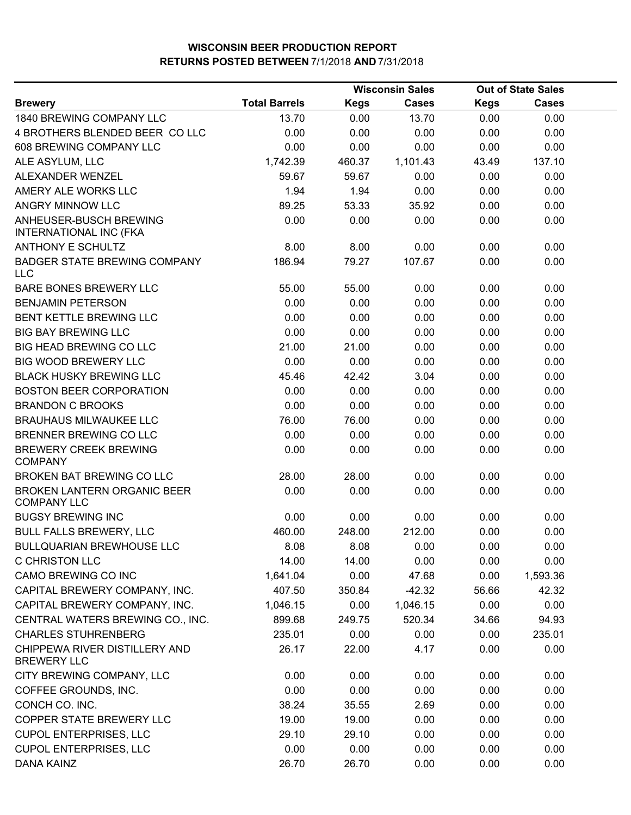|                                                         |                      |             | <b>Wisconsin Sales</b> | <b>Out of State Sales</b> |              |  |
|---------------------------------------------------------|----------------------|-------------|------------------------|---------------------------|--------------|--|
| <b>Brewery</b>                                          | <b>Total Barrels</b> | <b>Kegs</b> | <b>Cases</b>           | <b>Kegs</b>               | <b>Cases</b> |  |
| 1840 BREWING COMPANY LLC                                | 13.70                | 0.00        | 13.70                  | 0.00                      | 0.00         |  |
| 4 BROTHERS BLENDED BEER COLLC                           | 0.00                 | 0.00        | 0.00                   | 0.00                      | 0.00         |  |
| 608 BREWING COMPANY LLC                                 | 0.00                 | 0.00        | 0.00                   | 0.00                      | 0.00         |  |
| ALE ASYLUM, LLC                                         | 1,742.39             | 460.37      | 1,101.43               | 43.49                     | 137.10       |  |
| ALEXANDER WENZEL                                        | 59.67                | 59.67       | 0.00                   | 0.00                      | 0.00         |  |
| AMERY ALE WORKS LLC                                     | 1.94                 | 1.94        | 0.00                   | 0.00                      | 0.00         |  |
| <b>ANGRY MINNOW LLC</b>                                 | 89.25                | 53.33       | 35.92                  | 0.00                      | 0.00         |  |
| ANHEUSER-BUSCH BREWING<br><b>INTERNATIONAL INC (FKA</b> | 0.00                 | 0.00        | 0.00                   | 0.00                      | 0.00         |  |
| <b>ANTHONY E SCHULTZ</b>                                | 8.00                 | 8.00        | 0.00                   | 0.00                      | 0.00         |  |
| <b>BADGER STATE BREWING COMPANY</b><br><b>LLC</b>       | 186.94               | 79.27       | 107.67                 | 0.00                      | 0.00         |  |
| <b>BARE BONES BREWERY LLC</b>                           | 55.00                | 55.00       | 0.00                   | 0.00                      | 0.00         |  |
| <b>BENJAMIN PETERSON</b>                                | 0.00                 | 0.00        | 0.00                   | 0.00                      | 0.00         |  |
| <b>BENT KETTLE BREWING LLC</b>                          | 0.00                 | 0.00        | 0.00                   | 0.00                      | 0.00         |  |
| <b>BIG BAY BREWING LLC</b>                              | 0.00                 | 0.00        | 0.00                   | 0.00                      | 0.00         |  |
| BIG HEAD BREWING CO LLC                                 | 21.00                | 21.00       | 0.00                   | 0.00                      | 0.00         |  |
| <b>BIG WOOD BREWERY LLC</b>                             | 0.00                 | 0.00        | 0.00                   | 0.00                      | 0.00         |  |
| <b>BLACK HUSKY BREWING LLC</b>                          | 45.46                | 42.42       | 3.04                   | 0.00                      | 0.00         |  |
| <b>BOSTON BEER CORPORATION</b>                          | 0.00                 | 0.00        | 0.00                   | 0.00                      | 0.00         |  |
| <b>BRANDON C BROOKS</b>                                 | 0.00                 | 0.00        | 0.00                   | 0.00                      | 0.00         |  |
| <b>BRAUHAUS MILWAUKEE LLC</b>                           | 76.00                | 76.00       | 0.00                   | 0.00                      | 0.00         |  |
| BRENNER BREWING CO LLC                                  | 0.00                 | 0.00        | 0.00                   | 0.00                      | 0.00         |  |
| <b>BREWERY CREEK BREWING</b><br><b>COMPANY</b>          | 0.00                 | 0.00        | 0.00                   | 0.00                      | 0.00         |  |
| BROKEN BAT BREWING CO LLC                               | 28.00                | 28.00       | 0.00                   | 0.00                      | 0.00         |  |
| BROKEN LANTERN ORGANIC BEER<br><b>COMPANY LLC</b>       | 0.00                 | 0.00        | 0.00                   | 0.00                      | 0.00         |  |
| <b>BUGSY BREWING INC</b>                                | 0.00                 | 0.00        | 0.00                   | 0.00                      | 0.00         |  |
| <b>BULL FALLS BREWERY, LLC</b>                          | 460.00               | 248.00      | 212.00                 | 0.00                      | 0.00         |  |
| BULLQUARIAN BREWHOUSE LLC                               | 8.08                 | 8.08        | 0.00                   | 0.00                      | 0.00         |  |
| <b>C CHRISTON LLC</b>                                   | 14.00                | 14.00       | 0.00                   | 0.00                      | 0.00         |  |
| CAMO BREWING CO INC                                     | 1,641.04             | 0.00        | 47.68                  | 0.00                      | 1,593.36     |  |
| CAPITAL BREWERY COMPANY, INC.                           | 407.50               | 350.84      | $-42.32$               | 56.66                     | 42.32        |  |
| CAPITAL BREWERY COMPANY, INC.                           | 1,046.15             | 0.00        | 1,046.15               | 0.00                      | 0.00         |  |
| CENTRAL WATERS BREWING CO., INC.                        | 899.68               | 249.75      | 520.34                 | 34.66                     | 94.93        |  |
| <b>CHARLES STUHRENBERG</b>                              | 235.01               | 0.00        | 0.00                   | 0.00                      | 235.01       |  |
| CHIPPEWA RIVER DISTILLERY AND<br><b>BREWERY LLC</b>     | 26.17                | 22.00       | 4.17                   | 0.00                      | 0.00         |  |
| CITY BREWING COMPANY, LLC                               | 0.00                 | 0.00        | 0.00                   | 0.00                      | 0.00         |  |
| COFFEE GROUNDS, INC.                                    | 0.00                 | 0.00        | 0.00                   | 0.00                      | 0.00         |  |
| CONCH CO. INC.                                          | 38.24                | 35.55       | 2.69                   | 0.00                      | 0.00         |  |
| COPPER STATE BREWERY LLC                                | 19.00                | 19.00       | 0.00                   | 0.00                      | 0.00         |  |
| <b>CUPOL ENTERPRISES, LLC</b>                           | 29.10                | 29.10       | 0.00                   | 0.00                      | 0.00         |  |
| <b>CUPOL ENTERPRISES, LLC</b>                           | 0.00                 | 0.00        | 0.00                   | 0.00                      | 0.00         |  |
| DANA KAINZ                                              | 26.70                | 26.70       | 0.00                   | 0.00                      | 0.00         |  |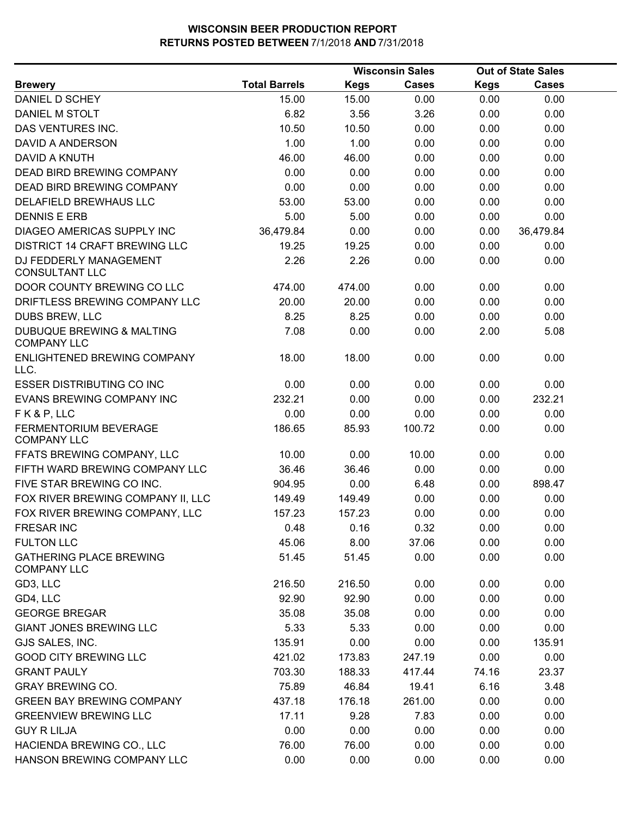|                                                      |                      |             | <b>Wisconsin Sales</b> |             | <b>Out of State Sales</b> |  |
|------------------------------------------------------|----------------------|-------------|------------------------|-------------|---------------------------|--|
| <b>Brewery</b>                                       | <b>Total Barrels</b> | <b>Kegs</b> | <b>Cases</b>           | <b>Kegs</b> | <b>Cases</b>              |  |
| DANIEL D SCHEY                                       | 15.00                | 15.00       | 0.00                   | 0.00        | 0.00                      |  |
| DANIEL M STOLT                                       | 6.82                 | 3.56        | 3.26                   | 0.00        | 0.00                      |  |
| DAS VENTURES INC.                                    | 10.50                | 10.50       | 0.00                   | 0.00        | 0.00                      |  |
| DAVID A ANDERSON                                     | 1.00                 | 1.00        | 0.00                   | 0.00        | 0.00                      |  |
| DAVID A KNUTH                                        | 46.00                | 46.00       | 0.00                   | 0.00        | 0.00                      |  |
| DEAD BIRD BREWING COMPANY                            | 0.00                 | 0.00        | 0.00                   | 0.00        | 0.00                      |  |
| DEAD BIRD BREWING COMPANY                            | 0.00                 | 0.00        | 0.00                   | 0.00        | 0.00                      |  |
| DELAFIELD BREWHAUS LLC                               | 53.00                | 53.00       | 0.00                   | 0.00        | 0.00                      |  |
| <b>DENNIS E ERB</b>                                  | 5.00                 | 5.00        | 0.00                   | 0.00        | 0.00                      |  |
| DIAGEO AMERICAS SUPPLY INC                           | 36,479.84            | 0.00        | 0.00                   | 0.00        | 36,479.84                 |  |
| <b>DISTRICT 14 CRAFT BREWING LLC</b>                 | 19.25                | 19.25       | 0.00                   | 0.00        | 0.00                      |  |
| DJ FEDDERLY MANAGEMENT<br><b>CONSULTANT LLC</b>      | 2.26                 | 2.26        | 0.00                   | 0.00        | 0.00                      |  |
| DOOR COUNTY BREWING CO LLC                           | 474.00               | 474.00      | 0.00                   | 0.00        | 0.00                      |  |
| DRIFTLESS BREWING COMPANY LLC                        | 20.00                | 20.00       | 0.00                   | 0.00        | 0.00                      |  |
| <b>DUBS BREW, LLC</b>                                | 8.25                 | 8.25        | 0.00                   | 0.00        | 0.00                      |  |
| DUBUQUE BREWING & MALTING<br><b>COMPANY LLC</b>      | 7.08                 | 0.00        | 0.00                   | 2.00        | 5.08                      |  |
| ENLIGHTENED BREWING COMPANY<br>LLC.                  | 18.00                | 18.00       | 0.00                   | 0.00        | 0.00                      |  |
| <b>ESSER DISTRIBUTING CO INC</b>                     | 0.00                 | 0.00        | 0.00                   | 0.00        | 0.00                      |  |
| EVANS BREWING COMPANY INC                            | 232.21               | 0.00        | 0.00                   | 0.00        | 232.21                    |  |
| FK&P, LLC                                            | 0.00                 | 0.00        | 0.00                   | 0.00        | 0.00                      |  |
| FERMENTORIUM BEVERAGE<br><b>COMPANY LLC</b>          | 186.65               | 85.93       | 100.72                 | 0.00        | 0.00                      |  |
| FFATS BREWING COMPANY, LLC                           | 10.00                | 0.00        | 10.00                  | 0.00        | 0.00                      |  |
| FIFTH WARD BREWING COMPANY LLC                       | 36.46                | 36.46       | 0.00                   | 0.00        | 0.00                      |  |
| FIVE STAR BREWING CO INC.                            | 904.95               | 0.00        | 6.48                   | 0.00        | 898.47                    |  |
| FOX RIVER BREWING COMPANY II, LLC                    | 149.49               | 149.49      | 0.00                   | 0.00        | 0.00                      |  |
| FOX RIVER BREWING COMPANY, LLC                       | 157.23               | 157.23      | 0.00                   | 0.00        | 0.00                      |  |
| <b>FRESAR INC</b>                                    | 0.48                 | 0.16        | 0.32                   | 0.00        | 0.00                      |  |
| <b>FULTON LLC</b>                                    | 45.06                | 8.00        | 37.06                  | 0.00        | 0.00                      |  |
| <b>GATHERING PLACE BREWING</b><br><b>COMPANY LLC</b> | 51.45                | 51.45       | 0.00                   | 0.00        | 0.00                      |  |
| GD3, LLC                                             | 216.50               | 216.50      | 0.00                   | 0.00        | 0.00                      |  |
| GD4, LLC                                             | 92.90                | 92.90       | 0.00                   | 0.00        | 0.00                      |  |
| <b>GEORGE BREGAR</b>                                 | 35.08                | 35.08       | 0.00                   | 0.00        | 0.00                      |  |
| <b>GIANT JONES BREWING LLC</b>                       | 5.33                 | 5.33        | 0.00                   | 0.00        | 0.00                      |  |
| GJS SALES, INC.                                      | 135.91               | 0.00        | 0.00                   | 0.00        | 135.91                    |  |
| <b>GOOD CITY BREWING LLC</b>                         | 421.02               | 173.83      | 247.19                 | 0.00        | 0.00                      |  |
| <b>GRANT PAULY</b>                                   | 703.30               | 188.33      | 417.44                 | 74.16       | 23.37                     |  |
| <b>GRAY BREWING CO.</b>                              | 75.89                | 46.84       | 19.41                  | 6.16        | 3.48                      |  |
| <b>GREEN BAY BREWING COMPANY</b>                     | 437.18               | 176.18      | 261.00                 | 0.00        | 0.00                      |  |
| <b>GREENVIEW BREWING LLC</b>                         | 17.11                | 9.28        | 7.83                   | 0.00        | 0.00                      |  |
| <b>GUY R LILJA</b>                                   | 0.00                 | 0.00        | 0.00                   | 0.00        | 0.00                      |  |
| HACIENDA BREWING CO., LLC                            | 76.00                | 76.00       | 0.00                   | 0.00        | 0.00                      |  |
| HANSON BREWING COMPANY LLC                           | 0.00                 | 0.00        | 0.00                   | 0.00        | 0.00                      |  |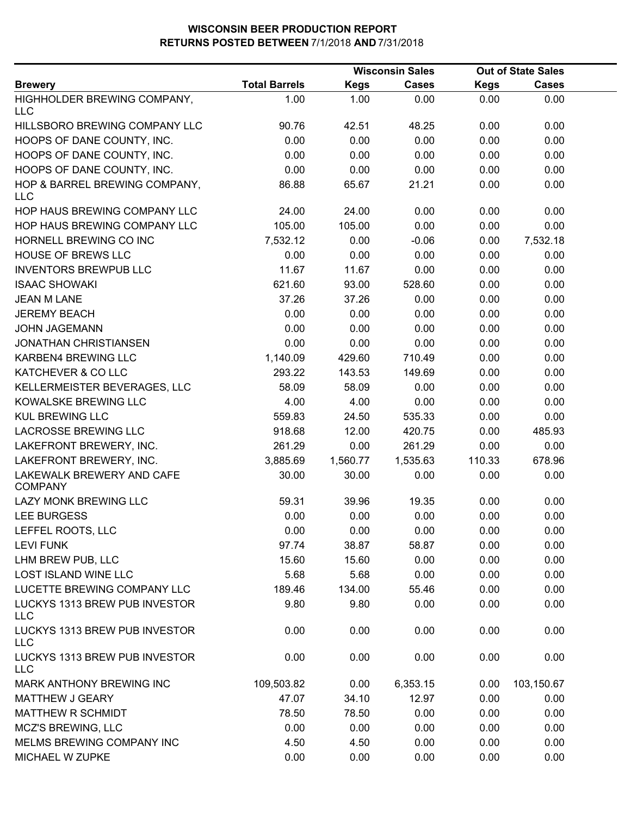|                                             |                      |             | <b>Wisconsin Sales</b> |             | <b>Out of State Sales</b> |  |
|---------------------------------------------|----------------------|-------------|------------------------|-------------|---------------------------|--|
| <b>Brewery</b>                              | <b>Total Barrels</b> | <b>Kegs</b> | <b>Cases</b>           | <b>Kegs</b> | <b>Cases</b>              |  |
| HIGHHOLDER BREWING COMPANY,<br>LLC          | 1.00                 | 1.00        | 0.00                   | 0.00        | 0.00                      |  |
| HILLSBORO BREWING COMPANY LLC               | 90.76                | 42.51       | 48.25                  | 0.00        | 0.00                      |  |
| HOOPS OF DANE COUNTY, INC.                  | 0.00                 | 0.00        | 0.00                   | 0.00        | 0.00                      |  |
| HOOPS OF DANE COUNTY, INC.                  | 0.00                 | 0.00        | 0.00                   | 0.00        | 0.00                      |  |
| HOOPS OF DANE COUNTY, INC.                  | 0.00                 | 0.00        | 0.00                   | 0.00        | 0.00                      |  |
| HOP & BARREL BREWING COMPANY,<br>LLC        | 86.88                | 65.67       | 21.21                  | 0.00        | 0.00                      |  |
| HOP HAUS BREWING COMPANY LLC                | 24.00                | 24.00       | 0.00                   | 0.00        | 0.00                      |  |
| HOP HAUS BREWING COMPANY LLC                | 105.00               | 105.00      | 0.00                   | 0.00        | 0.00                      |  |
| HORNELL BREWING CO INC                      | 7,532.12             | 0.00        | $-0.06$                | 0.00        | 7,532.18                  |  |
| <b>HOUSE OF BREWS LLC</b>                   | 0.00                 | 0.00        | 0.00                   | 0.00        | 0.00                      |  |
| <b>INVENTORS BREWPUB LLC</b>                | 11.67                | 11.67       | 0.00                   | 0.00        | 0.00                      |  |
| <b>ISAAC SHOWAKI</b>                        | 621.60               | 93.00       | 528.60                 | 0.00        | 0.00                      |  |
| <b>JEAN M LANE</b>                          | 37.26                | 37.26       | 0.00                   | 0.00        | 0.00                      |  |
| <b>JEREMY BEACH</b>                         | 0.00                 | 0.00        | 0.00                   | 0.00        | 0.00                      |  |
| <b>JOHN JAGEMANN</b>                        | 0.00                 | 0.00        | 0.00                   | 0.00        | 0.00                      |  |
| <b>JONATHAN CHRISTIANSEN</b>                | 0.00                 | 0.00        | 0.00                   | 0.00        | 0.00                      |  |
| KARBEN4 BREWING LLC                         | 1,140.09             | 429.60      | 710.49                 | 0.00        | 0.00                      |  |
| KATCHEVER & CO LLC                          | 293.22               | 143.53      | 149.69                 | 0.00        | 0.00                      |  |
| KELLERMEISTER BEVERAGES, LLC                | 58.09                | 58.09       | 0.00                   | 0.00        | 0.00                      |  |
| KOWALSKE BREWING LLC                        | 4.00                 | 4.00        | 0.00                   | 0.00        | 0.00                      |  |
| <b>KUL BREWING LLC</b>                      | 559.83               | 24.50       | 535.33                 | 0.00        | 0.00                      |  |
| <b>LACROSSE BREWING LLC</b>                 | 918.68               | 12.00       | 420.75                 | 0.00        | 485.93                    |  |
| LAKEFRONT BREWERY, INC.                     | 261.29               | 0.00        | 261.29                 | 0.00        | 0.00                      |  |
| LAKEFRONT BREWERY, INC.                     | 3,885.69             | 1,560.77    | 1,535.63               | 110.33      | 678.96                    |  |
| LAKEWALK BREWERY AND CAFE<br><b>COMPANY</b> | 30.00                | 30.00       | 0.00                   | 0.00        | 0.00                      |  |
| LAZY MONK BREWING LLC                       | 59.31                | 39.96       | 19.35                  | 0.00        | 0.00                      |  |
| <b>LEE BURGESS</b>                          | 0.00                 | 0.00        | 0.00                   | 0.00        | 0.00                      |  |
| LEFFEL ROOTS, LLC                           | 0.00                 | 0.00        | 0.00                   | 0.00        | 0.00                      |  |
| <b>LEVI FUNK</b>                            | 97.74                | 38.87       | 58.87                  | 0.00        | 0.00                      |  |
| LHM BREW PUB, LLC                           | 15.60                | 15.60       | 0.00                   | 0.00        | 0.00                      |  |
| <b>LOST ISLAND WINE LLC</b>                 | 5.68                 | 5.68        | 0.00                   | 0.00        | 0.00                      |  |
| LUCETTE BREWING COMPANY LLC                 | 189.46               | 134.00      | 55.46                  | 0.00        | 0.00                      |  |
| LUCKYS 1313 BREW PUB INVESTOR<br><b>LLC</b> | 9.80                 | 9.80        | 0.00                   | 0.00        | 0.00                      |  |
| LUCKYS 1313 BREW PUB INVESTOR<br><b>LLC</b> | 0.00                 | 0.00        | 0.00                   | 0.00        | 0.00                      |  |
| LUCKYS 1313 BREW PUB INVESTOR<br><b>LLC</b> | 0.00                 | 0.00        | 0.00                   | 0.00        | 0.00                      |  |
| MARK ANTHONY BREWING INC                    | 109,503.82           | 0.00        | 6,353.15               | 0.00        | 103,150.67                |  |
| <b>MATTHEW J GEARY</b>                      | 47.07                | 34.10       | 12.97                  | 0.00        | 0.00                      |  |
| <b>MATTHEW R SCHMIDT</b>                    | 78.50                | 78.50       | 0.00                   | 0.00        | 0.00                      |  |
| MCZ'S BREWING, LLC                          | 0.00                 | 0.00        | 0.00                   | 0.00        | 0.00                      |  |
| MELMS BREWING COMPANY INC                   | 4.50                 | 4.50        | 0.00                   | 0.00        | 0.00                      |  |
| MICHAEL W ZUPKE                             | 0.00                 | 0.00        | 0.00                   | 0.00        | 0.00                      |  |
|                                             |                      |             |                        |             |                           |  |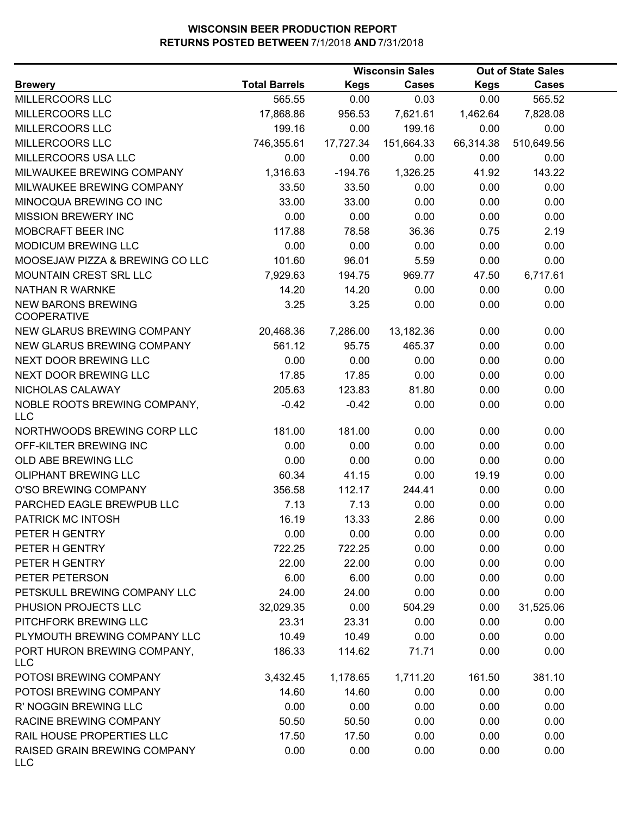|                                                 |                      |             | <b>Wisconsin Sales</b> |             | <b>Out of State Sales</b> |  |
|-------------------------------------------------|----------------------|-------------|------------------------|-------------|---------------------------|--|
| <b>Brewery</b>                                  | <b>Total Barrels</b> | <b>Kegs</b> | <b>Cases</b>           | <b>Kegs</b> | <b>Cases</b>              |  |
| MILLERCOORS LLC                                 | 565.55               | 0.00        | 0.03                   | 0.00        | 565.52                    |  |
| MILLERCOORS LLC                                 | 17,868.86            | 956.53      | 7,621.61               | 1,462.64    | 7,828.08                  |  |
| MILLERCOORS LLC                                 | 199.16               | 0.00        | 199.16                 | 0.00        | 0.00                      |  |
| MILLERCOORS LLC                                 | 746,355.61           | 17,727.34   | 151,664.33             | 66,314.38   | 510,649.56                |  |
| MILLERCOORS USA LLC                             | 0.00                 | 0.00        | 0.00                   | 0.00        | 0.00                      |  |
| MILWAUKEE BREWING COMPANY                       | 1,316.63             | $-194.76$   | 1,326.25               | 41.92       | 143.22                    |  |
| MILWAUKEE BREWING COMPANY                       | 33.50                | 33.50       | 0.00                   | 0.00        | 0.00                      |  |
| MINOCQUA BREWING CO INC                         | 33.00                | 33.00       | 0.00                   | 0.00        | 0.00                      |  |
| <b>MISSION BREWERY INC</b>                      | 0.00                 | 0.00        | 0.00                   | 0.00        | 0.00                      |  |
| MOBCRAFT BEER INC                               | 117.88               | 78.58       | 36.36                  | 0.75        | 2.19                      |  |
| MODICUM BREWING LLC                             | 0.00                 | 0.00        | 0.00                   | 0.00        | 0.00                      |  |
| MOOSEJAW PIZZA & BREWING CO LLC                 | 101.60               | 96.01       | 5.59                   | 0.00        | 0.00                      |  |
| MOUNTAIN CREST SRL LLC                          | 7,929.63             | 194.75      | 969.77                 | 47.50       | 6,717.61                  |  |
| NATHAN R WARNKE                                 | 14.20                | 14.20       | 0.00                   | 0.00        | 0.00                      |  |
| <b>NEW BARONS BREWING</b><br><b>COOPERATIVE</b> | 3.25                 | 3.25        | 0.00                   | 0.00        | 0.00                      |  |
| NEW GLARUS BREWING COMPANY                      | 20,468.36            | 7,286.00    | 13,182.36              | 0.00        | 0.00                      |  |
| NEW GLARUS BREWING COMPANY                      | 561.12               | 95.75       | 465.37                 | 0.00        | 0.00                      |  |
| NEXT DOOR BREWING LLC                           | 0.00                 | 0.00        | 0.00                   | 0.00        | 0.00                      |  |
| NEXT DOOR BREWING LLC                           | 17.85                | 17.85       | 0.00                   | 0.00        | 0.00                      |  |
| NICHOLAS CALAWAY                                | 205.63               | 123.83      | 81.80                  | 0.00        | 0.00                      |  |
| NOBLE ROOTS BREWING COMPANY,<br><b>LLC</b>      | $-0.42$              | $-0.42$     | 0.00                   | 0.00        | 0.00                      |  |
| NORTHWOODS BREWING CORP LLC                     | 181.00               | 181.00      | 0.00                   | 0.00        | 0.00                      |  |
| OFF-KILTER BREWING INC                          | 0.00                 | 0.00        | 0.00                   | 0.00        | 0.00                      |  |
| OLD ABE BREWING LLC                             | 0.00                 | 0.00        | 0.00                   | 0.00        | 0.00                      |  |
| <b>OLIPHANT BREWING LLC</b>                     | 60.34                | 41.15       | 0.00                   | 19.19       | 0.00                      |  |
| O'SO BREWING COMPANY                            | 356.58               | 112.17      | 244.41                 | 0.00        | 0.00                      |  |
| PARCHED EAGLE BREWPUB LLC                       | 7.13                 | 7.13        | 0.00                   | 0.00        | 0.00                      |  |
| PATRICK MC INTOSH                               | 16.19                | 13.33       | 2.86                   | 0.00        | 0.00                      |  |
| PETER H GENTRY                                  | 0.00                 | 0.00        | 0.00                   | 0.00        | 0.00                      |  |
| PETER H GENTRY                                  | 722.25               | 722.25      | 0.00                   | 0.00        | 0.00                      |  |
| PETER H GENTRY                                  | 22.00                | 22.00       | 0.00                   | 0.00        | 0.00                      |  |
| PETER PETERSON                                  | 6.00                 | 6.00        | 0.00                   | 0.00        | 0.00                      |  |
| PETSKULL BREWING COMPANY LLC                    | 24.00                | 24.00       | 0.00                   | 0.00        | 0.00                      |  |
| PHUSION PROJECTS LLC                            | 32,029.35            | 0.00        | 504.29                 | 0.00        | 31,525.06                 |  |
| PITCHFORK BREWING LLC                           | 23.31                | 23.31       | 0.00                   | 0.00        | 0.00                      |  |
| PLYMOUTH BREWING COMPANY LLC                    | 10.49                | 10.49       | 0.00                   | 0.00        | 0.00                      |  |
| PORT HURON BREWING COMPANY,<br>LLC              | 186.33               | 114.62      | 71.71                  | 0.00        | 0.00                      |  |
| POTOSI BREWING COMPANY                          | 3,432.45             | 1,178.65    | 1,711.20               | 161.50      | 381.10                    |  |
| POTOSI BREWING COMPANY                          | 14.60                | 14.60       | 0.00                   | 0.00        | 0.00                      |  |
| R' NOGGIN BREWING LLC                           | 0.00                 | 0.00        | 0.00                   | 0.00        | 0.00                      |  |
| RACINE BREWING COMPANY                          | 50.50                | 50.50       | 0.00                   | 0.00        | 0.00                      |  |
| RAIL HOUSE PROPERTIES LLC                       | 17.50                | 17.50       | 0.00                   | 0.00        | 0.00                      |  |
| RAISED GRAIN BREWING COMPANY<br><b>LLC</b>      | 0.00                 | 0.00        | 0.00                   | 0.00        | 0.00                      |  |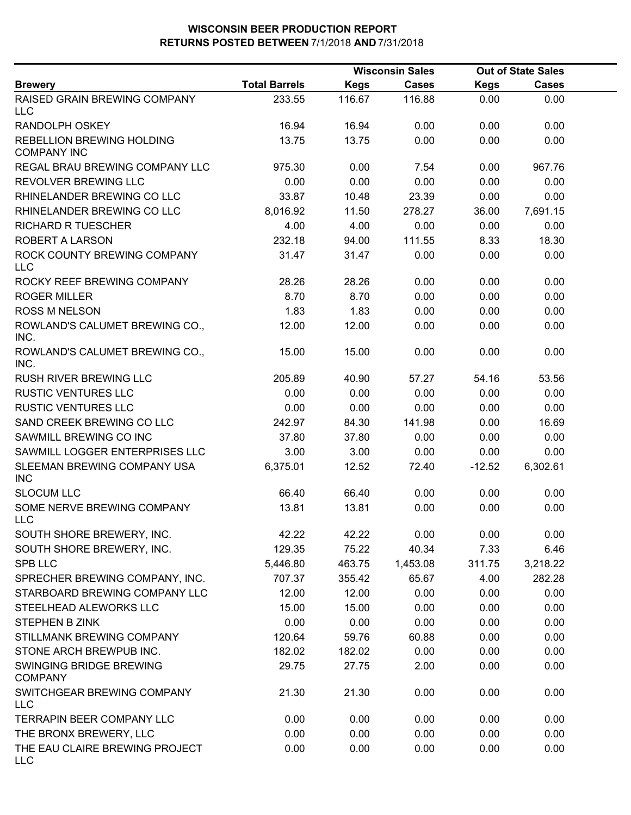|                                                        |                      |             | <b>Wisconsin Sales</b> |             | <b>Out of State Sales</b> |  |
|--------------------------------------------------------|----------------------|-------------|------------------------|-------------|---------------------------|--|
| <b>Brewery</b>                                         | <b>Total Barrels</b> | <b>Kegs</b> | <b>Cases</b>           | <b>Kegs</b> | <b>Cases</b>              |  |
| <b>RAISED GRAIN BREWING COMPANY</b><br><b>LLC</b>      | 233.55               | 116.67      | 116.88                 | 0.00        | 0.00                      |  |
| <b>RANDOLPH OSKEY</b>                                  | 16.94                | 16.94       | 0.00                   | 0.00        | 0.00                      |  |
| <b>REBELLION BREWING HOLDING</b><br><b>COMPANY INC</b> | 13.75                | 13.75       | 0.00                   | 0.00        | 0.00                      |  |
| REGAL BRAU BREWING COMPANY LLC                         | 975.30               | 0.00        | 7.54                   | 0.00        | 967.76                    |  |
| <b>REVOLVER BREWING LLC</b>                            | 0.00                 | 0.00        | 0.00                   | 0.00        | 0.00                      |  |
| RHINELANDER BREWING CO LLC                             | 33.87                | 10.48       | 23.39                  | 0.00        | 0.00                      |  |
| RHINELANDER BREWING CO LLC                             | 8,016.92             | 11.50       | 278.27                 | 36.00       | 7,691.15                  |  |
| <b>RICHARD R TUESCHER</b>                              | 4.00                 | 4.00        | 0.00                   | 0.00        | 0.00                      |  |
| ROBERT A LARSON                                        | 232.18               | 94.00       | 111.55                 | 8.33        | 18.30                     |  |
| ROCK COUNTY BREWING COMPANY<br><b>LLC</b>              | 31.47                | 31.47       | 0.00                   | 0.00        | 0.00                      |  |
| ROCKY REEF BREWING COMPANY                             | 28.26                | 28.26       | 0.00                   | 0.00        | 0.00                      |  |
| <b>ROGER MILLER</b>                                    | 8.70                 | 8.70        | 0.00                   | 0.00        | 0.00                      |  |
| <b>ROSS M NELSON</b>                                   | 1.83                 | 1.83        | 0.00                   | 0.00        | 0.00                      |  |
| ROWLAND'S CALUMET BREWING CO.,<br>INC.                 | 12.00                | 12.00       | 0.00                   | 0.00        | 0.00                      |  |
| ROWLAND'S CALUMET BREWING CO.,<br>INC.                 | 15.00                | 15.00       | 0.00                   | 0.00        | 0.00                      |  |
| RUSH RIVER BREWING LLC                                 | 205.89               | 40.90       | 57.27                  | 54.16       | 53.56                     |  |
| <b>RUSTIC VENTURES LLC</b>                             | 0.00                 | 0.00        | 0.00                   | 0.00        | 0.00                      |  |
| <b>RUSTIC VENTURES LLC</b>                             | 0.00                 | 0.00        | 0.00                   | 0.00        | 0.00                      |  |
| SAND CREEK BREWING CO LLC                              | 242.97               | 84.30       | 141.98                 | 0.00        | 16.69                     |  |
| SAWMILL BREWING CO INC                                 | 37.80                | 37.80       | 0.00                   | 0.00        | 0.00                      |  |
| SAWMILL LOGGER ENTERPRISES LLC                         | 3.00                 | 3.00        | 0.00                   | 0.00        | 0.00                      |  |
| SLEEMAN BREWING COMPANY USA<br><b>INC</b>              | 6,375.01             | 12.52       | 72.40                  | $-12.52$    | 6,302.61                  |  |
| <b>SLOCUM LLC</b>                                      | 66.40                | 66.40       | 0.00                   | 0.00        | 0.00                      |  |
| SOME NERVE BREWING COMPANY<br><b>LLC</b>               | 13.81                | 13.81       | 0.00                   | 0.00        | 0.00                      |  |
| SOUTH SHORE BREWERY, INC.                              | 42.22                | 42.22       | 0.00                   | 0.00        | 0.00                      |  |
| SOUTH SHORE BREWERY, INC.                              | 129.35               | 75.22       | 40.34                  | 7.33        | 6.46                      |  |
| <b>SPB LLC</b>                                         | 5,446.80             | 463.75      | 1,453.08               | 311.75      | 3,218.22                  |  |
| SPRECHER BREWING COMPANY, INC.                         | 707.37               | 355.42      | 65.67                  | 4.00        | 282.28                    |  |
| STARBOARD BREWING COMPANY LLC                          | 12.00                | 12.00       | 0.00                   | 0.00        | 0.00                      |  |
| STEELHEAD ALEWORKS LLC                                 | 15.00                | 15.00       | 0.00                   | 0.00        | 0.00                      |  |
| <b>STEPHEN B ZINK</b>                                  | 0.00                 | 0.00        | 0.00                   | 0.00        | 0.00                      |  |
| STILLMANK BREWING COMPANY                              | 120.64               | 59.76       | 60.88                  | 0.00        | 0.00                      |  |
| STONE ARCH BREWPUB INC.                                | 182.02               | 182.02      | 0.00                   | 0.00        | 0.00                      |  |
| SWINGING BRIDGE BREWING<br><b>COMPANY</b>              | 29.75                | 27.75       | 2.00                   | 0.00        | 0.00                      |  |
| SWITCHGEAR BREWING COMPANY<br><b>LLC</b>               | 21.30                | 21.30       | 0.00                   | 0.00        | 0.00                      |  |
| TERRAPIN BEER COMPANY LLC                              | 0.00                 | 0.00        | 0.00                   | 0.00        | 0.00                      |  |
| THE BRONX BREWERY, LLC                                 | 0.00                 | 0.00        | 0.00                   | 0.00        | 0.00                      |  |
| THE EAU CLAIRE BREWING PROJECT<br><b>LLC</b>           | 0.00                 | 0.00        | 0.00                   | 0.00        | 0.00                      |  |